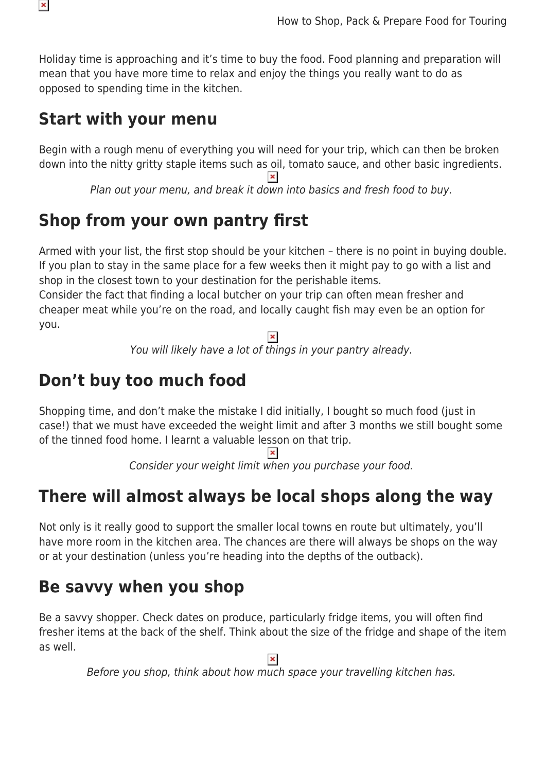

Holiday time is approaching and it's time to buy the food. Food planning and preparation will mean that you have more time to relax and enjoy the things you really want to do as opposed to spending time in the kitchen.

## **Start with your menu**

Begin with a rough menu of everything you will need for your trip, which can then be broken down into the nitty gritty staple items such as oil, tomato sauce, and other basic ingredients.

Plan out your menu, and break it down into basics and fresh food to buy.

# **Shop from your own pantry first**

Armed with your list, the first stop should be your kitchen – there is no point in buying double. If you plan to stay in the same place for a few weeks then it might pay to go with a list and shop in the closest town to your destination for the perishable items.

Consider the fact that finding a local butcher on your trip can often mean fresher and cheaper meat while you're on the road, and locally caught fish may even be an option for you.

You will likely have a lot of things in your pantry already.

# **Don't buy too much food**

Shopping time, and don't make the mistake I did initially, I bought so much food (just in case!) that we must have exceeded the weight limit and after 3 months we still bought some of the tinned food home. I learnt a valuable lesson on that trip.

 $\pmb{\times}$ 

Consider your weight limit when you purchase your food.

# **There will almost always be local shops along the way**

Not only is it really good to support the smaller local towns en route but ultimately, you'll have more room in the kitchen area. The chances are there will always be shops on the way or at your destination (unless you're heading into the depths of the outback).

## **Be savvy when you shop**

Be a savvy shopper. Check dates on produce, particularly fridge items, you will often find fresher items at the back of the shelf. Think about the size of the fridge and shape of the item as well.

 $\pmb{\times}$ 

Before you shop, think about how much space your travelling kitchen has.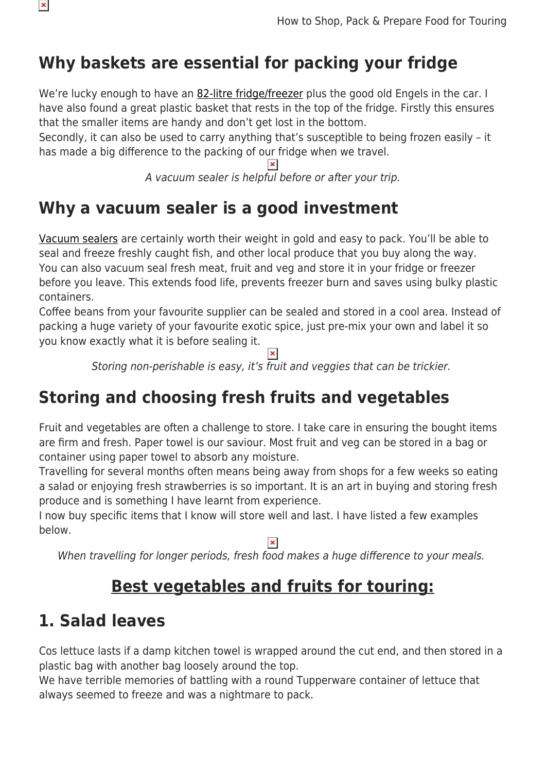

# **Why baskets are essential for packing your fridge**

We're lucky enough to have an [82-litre fridge/freezer](https://www.snowys.com.au/portable-fridges) plus the good old Engels in the car. I have also found a great plastic basket that rests in the top of the fridge. Firstly this ensures that the smaller items are handy and don't get lost in the bottom.

Secondly, it can also be used to carry anything that's susceptible to being frozen easily – it has made a big difference to the packing of our fridge when we travel.

 $\pmb{\times}$ 

A vacuum sealer is helpful before or after your trip.

# **Why a vacuum sealer is a good investment**

[Vacuum sealers](https://www.snowys.com.au/caravan-kitchen#/specFilters=5m!#-!1925&pageSize=40&orderBy=-1&pageNumber=1) are certainly worth their weight in gold and easy to pack. You'll be able to seal and freeze freshly caught fish, and other local produce that you buy along the way. You can also vacuum seal fresh meat, fruit and veg and store it in your fridge or freezer before you leave. This extends food life, prevents freezer burn and saves using bulky plastic containers.

Coffee beans from your favourite supplier can be sealed and stored in a cool area. Instead of packing a huge variety of your favourite exotic spice, just pre-mix your own and label it so you know exactly what it is before sealing it.

Storing non-perishable is easy, it's fruit and veggies that can be trickier.

# **Storing and choosing fresh fruits and vegetables**

Fruit and vegetables are often a challenge to store. I take care in ensuring the bought items are firm and fresh. Paper towel is our saviour. Most fruit and veg can be stored in a bag or container using paper towel to absorb any moisture.

Travelling for several months often means being away from shops for a few weeks so eating a salad or enjoying fresh strawberries is so important. It is an art in buying and storing fresh produce and is something I have learnt from experience.

I now buy specific items that I know will store well and last. I have listed a few examples below.

When travelling for longer periods, fresh food makes a huge difference to your meals.

## **Best vegetables and fruits for touring:**

## **1. Salad leaves**

Cos lettuce lasts if a damp kitchen towel is wrapped around the cut end, and then stored in a plastic bag with another bag loosely around the top.

We have terrible memories of battling with a round Tupperware container of lettuce that always seemed to freeze and was a nightmare to pack.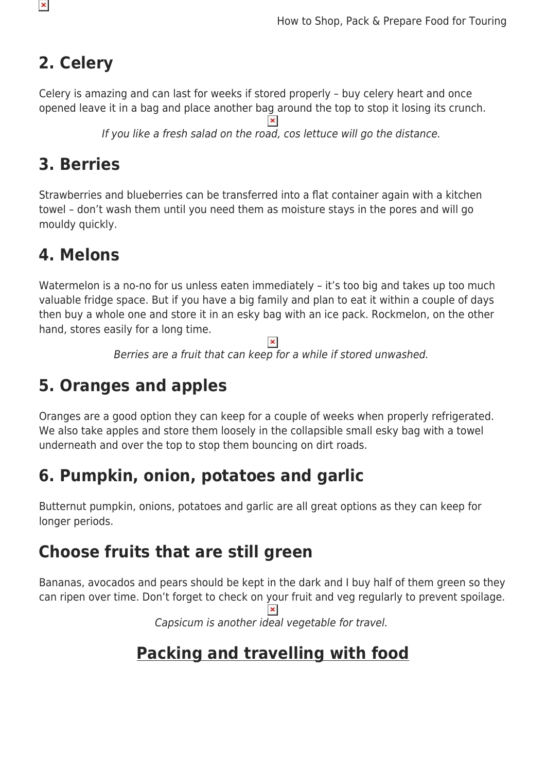# **2. Celery**

Celery is amazing and can last for weeks if stored properly – buy celery heart and once opened leave it in a bag and place another bag around the top to stop it losing its crunch.

If you like a fresh salad on the road, cos lettuce will go the distance.

## **3. Berries**

Strawberries and blueberries can be transferred into a flat container again with a kitchen towel – don't wash them until you need them as moisture stays in the pores and will go mouldy quickly.

## **4. Melons**

Watermelon is a no-no for us unless eaten immediately - it's too big and takes up too much valuable fridge space. But if you have a big family and plan to eat it within a couple of days then buy a whole one and store it in an esky bag with an ice pack. Rockmelon, on the other hand, stores easily for a long time.

 $\pmb{\times}$ Berries are a fruit that can keep for a while if stored unwashed.

# **5. Oranges and apples**

Oranges are a good option they can keep for a couple of weeks when properly refrigerated. We also take apples and store them loosely in the collapsible small esky bag with a towel underneath and over the top to stop them bouncing on dirt roads.

# **6. Pumpkin, onion, potatoes and garlic**

Butternut pumpkin, onions, potatoes and garlic are all great options as they can keep for longer periods.

# **Choose fruits that are still green**

Bananas, avocados and pears should be kept in the dark and I buy half of them green so they can ripen over time. Don't forget to check on your fruit and veg regularly to prevent spoilage.

Capsicum is another ideal vegetable for travel.

# **Packing and travelling with food**

 $\pmb{\times}$